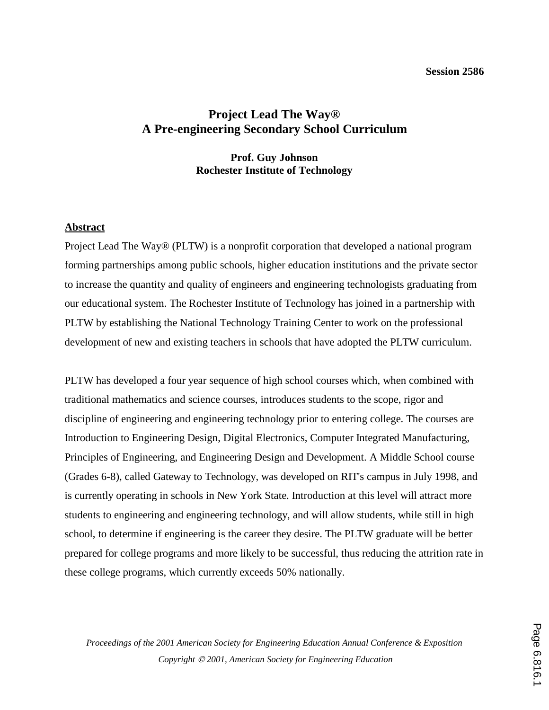#### **Session 2586**

# **Project Lead The Way® A Pre-engineering Secondary School Curriculum**

# **Prof. Guy Johnson Rochester Institute of Technology**

### **Abstract**

Project Lead The Way® (PLTW) is a nonprofit corporation that developed a national program forming partnerships among public schools, higher education institutions and the private sector to increase the quantity and quality of engineers and engineering technologists graduating from our educational system. The Rochester Institute of Technology has joined in a partnership with PLTW by establishing the National Technology Training Center to work on the professional development of new and existing teachers in schools that have adopted the PLTW curriculum.

PLTW has developed a four year sequence of high school courses which, when combined with traditional mathematics and science courses, introduces students to the scope, rigor and discipline of engineering and engineering technology prior to entering college. The courses are Introduction to Engineering Design, Digital Electronics, Computer Integrated Manufacturing, Principles of Engineering, and Engineering Design and Development. A Middle School course (Grades 6-8), called Gateway to Technology, was developed on RIT's campus in July 1998, and is currently operating in schools in New York State. Introduction at this level will attract more students to engineering and engineering technology, and will allow students, while still in high school, to determine if engineering is the career they desire. The PLTW graduate will be better prepared for college programs and more likely to be successful, thus reducing the attrition rate in these college programs, which currently exceeds 50% nationally.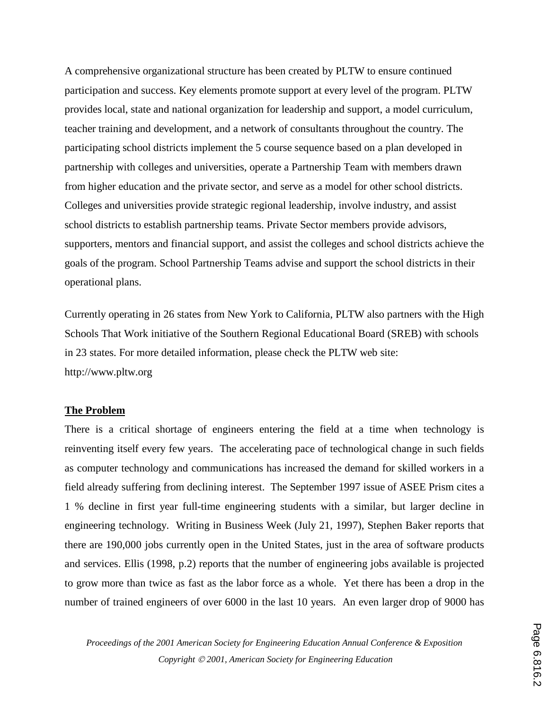A comprehensive organizational structure has been created by PLTW to ensure continued participation and success. Key elements promote support at every level of the program. PLTW provides local, state and national organization for leadership and support, a model curriculum, teacher training and development, and a network of consultants throughout the country. The participating school districts implement the 5 course sequence based on a plan developed in partnership with colleges and universities, operate a Partnership Team with members drawn from higher education and the private sector, and serve as a model for other school districts. Colleges and universities provide strategic regional leadership, involve industry, and assist school districts to establish partnership teams. Private Sector members provide advisors, supporters, mentors and financial support, and assist the colleges and school districts achieve the goals of the program. School Partnership Teams advise and support the school districts in their operational plans.

Currently operating in 26 states from New York to California, PLTW also partners with the High Schools That Work initiative of the Southern Regional Educational Board (SREB) with schools in 23 states. For more detailed information, please check the PLTW web site: http://www.pltw.org

#### **The Problem**

There is a critical shortage of engineers entering the field at a time when technology is reinventing itself every few years. The accelerating pace of technological change in such fields as computer technology and communications has increased the demand for skilled workers in a field already suffering from declining interest. The September 1997 issue of ASEE Prism cites a 1 % decline in first year full-time engineering students with a similar, but larger decline in engineering technology. Writing in Business Week (July 21, 1997), Stephen Baker reports that there are 190,000 jobs currently open in the United States, just in the area of software products and services. Ellis (1998, p.2) reports that the number of engineering jobs available is projected to grow more than twice as fast as the labor force as a whole. Yet there has been a drop in the number of trained engineers of over 6000 in the last 10 years. An even larger drop of 9000 has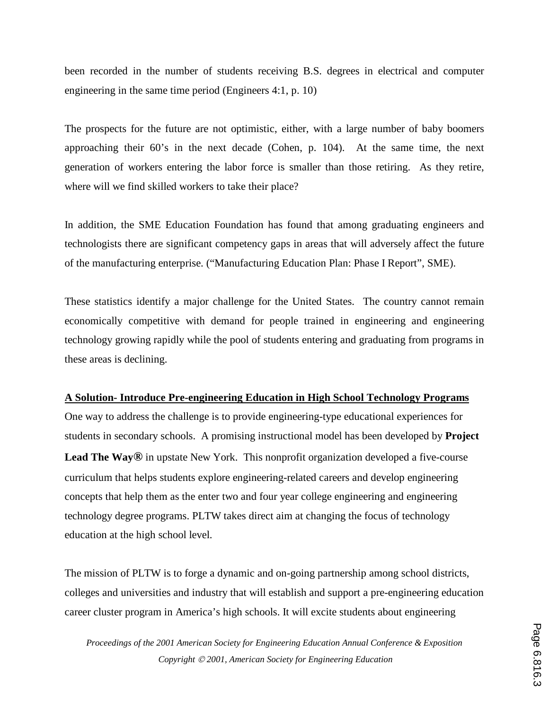been recorded in the number of students receiving B.S. degrees in electrical and computer engineering in the same time period (Engineers 4:1, p. 10)

The prospects for the future are not optimistic, either, with a large number of baby boomers approaching their 60's in the next decade (Cohen, p. 104). At the same time, the next generation of workers entering the labor force is smaller than those retiring. As they retire, where will we find skilled workers to take their place?

In addition, the SME Education Foundation has found that among graduating engineers and technologists there are significant competency gaps in areas that will adversely affect the future of the manufacturing enterprise. ("Manufacturing Education Plan: Phase I Report", SME).

These statistics identify a major challenge for the United States. The country cannot remain economically competitive with demand for people trained in engineering and engineering technology growing rapidly while the pool of students entering and graduating from programs in these areas is declining.

# **A Solution- Introduce Pre-engineering Education in High School Technology Programs**

One way to address the challenge is to provide engineering-type educational experiences for students in secondary schools. A promising instructional model has been developed by **Project Lead The Way®** in upstate New York. This nonprofit organization developed a five-course curriculum that helps students explore engineering-related careers and develop engineering concepts that help them as the enter two and four year college engineering and engineering technology degree programs. PLTW takes direct aim at changing the focus of technology education at the high school level.

The mission of PLTW is to forge a dynamic and on-going partnership among school districts, colleges and universities and industry that will establish and support a pre-engineering education career cluster program in America's high schools. It will excite students about engineering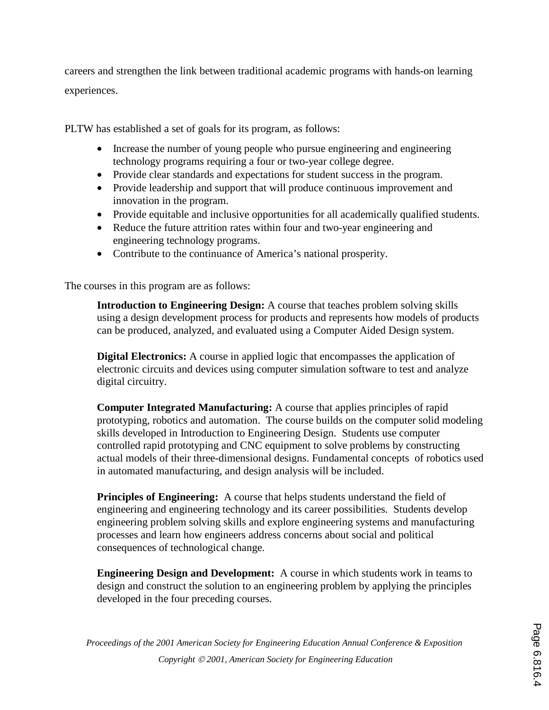careers and strengthen the link between traditional academic programs with hands-on learning experiences.

PLTW has established a set of goals for its program, as follows:

- Increase the number of young people who pursue engineering and engineering technology programs requiring a four or two-year college degree.
- Provide clear standards and expectations for student success in the program.
- Provide leadership and support that will produce continuous improvement and innovation in the program.
- Provide equitable and inclusive opportunities for all academically qualified students.
- Reduce the future attrition rates within four and two-year engineering and engineering technology programs.
- Contribute to the continuance of America's national prosperity.

The courses in this program are as follows:

**Introduction to Engineering Design:** A course that teaches problem solving skills using a design development process for products and represents how models of products can be produced, analyzed, and evaluated using a Computer Aided Design system.

**Digital Electronics:** A course in applied logic that encompasses the application of electronic circuits and devices using computer simulation software to test and analyze digital circuitry.

**Computer Integrated Manufacturing:** A course that applies principles of rapid prototyping, robotics and automation. The course builds on the computer solid modeling skills developed in Introduction to Engineering Design. Students use computer controlled rapid prototyping and CNC equipment to solve problems by constructing actual models of their three-dimensional designs. Fundamental concepts of robotics used in automated manufacturing, and design analysis will be included.

**Principles of Engineering:** A course that helps students understand the field of engineering and engineering technology and its career possibilities. Students develop engineering problem solving skills and explore engineering systems and manufacturing processes and learn how engineers address concerns about social and political consequences of technological change.

**Engineering Design and Development:** A course in which students work in teams to design and construct the solution to an engineering problem by applying the principles developed in the four preceding courses.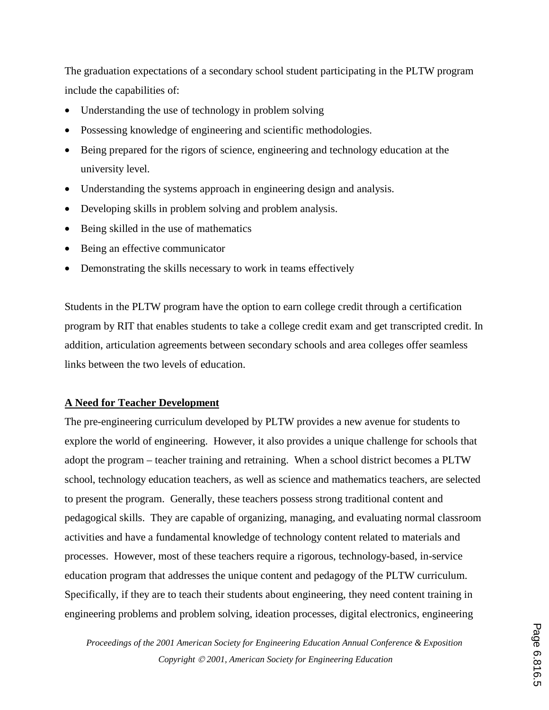The graduation expectations of a secondary school student participating in the PLTW program include the capabilities of:

- Understanding the use of technology in problem solving
- Possessing knowledge of engineering and scientific methodologies.
- Being prepared for the rigors of science, engineering and technology education at the university level.
- Understanding the systems approach in engineering design and analysis.
- Developing skills in problem solving and problem analysis.
- Being skilled in the use of mathematics
- Being an effective communicator
- Demonstrating the skills necessary to work in teams effectively

Students in the PLTW program have the option to earn college credit through a certification program by RIT that enables students to take a college credit exam and get transcripted credit. In addition, articulation agreements between secondary schools and area colleges offer seamless links between the two levels of education.

# **A Need for Teacher Development**

The pre-engineering curriculum developed by PLTW provides a new avenue for students to explore the world of engineering. However, it also provides a unique challenge for schools that adopt the program – teacher training and retraining. When a school district becomes a PLTW school, technology education teachers, as well as science and mathematics teachers, are selected to present the program. Generally, these teachers possess strong traditional content and pedagogical skills. They are capable of organizing, managing, and evaluating normal classroom activities and have a fundamental knowledge of technology content related to materials and processes. However, most of these teachers require a rigorous, technology-based, in-service education program that addresses the unique content and pedagogy of the PLTW curriculum. Specifically, if they are to teach their students about engineering, they need content training in engineering problems and problem solving, ideation processes, digital electronics, engineering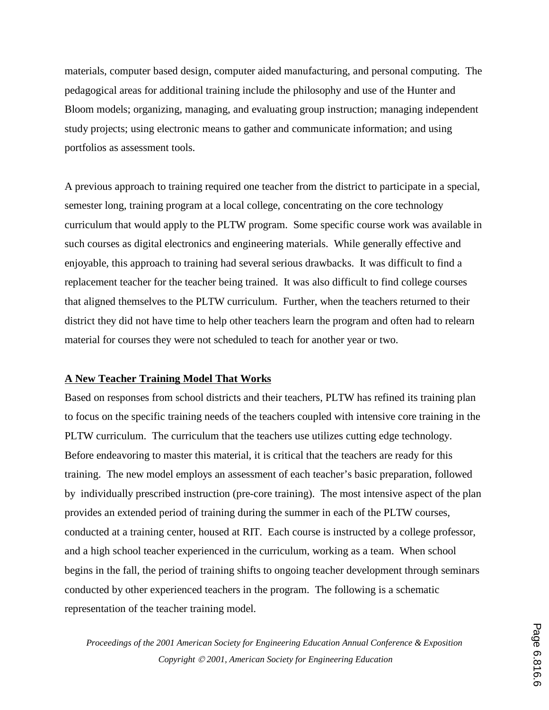materials, computer based design, computer aided manufacturing, and personal computing. The pedagogical areas for additional training include the philosophy and use of the Hunter and Bloom models; organizing, managing, and evaluating group instruction; managing independent study projects; using electronic means to gather and communicate information; and using portfolios as assessment tools.

A previous approach to training required one teacher from the district to participate in a special, semester long, training program at a local college, concentrating on the core technology curriculum that would apply to the PLTW program. Some specific course work was available in such courses as digital electronics and engineering materials. While generally effective and enjoyable, this approach to training had several serious drawbacks. It was difficult to find a replacement teacher for the teacher being trained. It was also difficult to find college courses that aligned themselves to the PLTW curriculum. Further, when the teachers returned to their district they did not have time to help other teachers learn the program and often had to relearn material for courses they were not scheduled to teach for another year or two.

### **A New Teacher Training Model That Works**

Based on responses from school districts and their teachers, PLTW has refined its training plan to focus on the specific training needs of the teachers coupled with intensive core training in the PLTW curriculum. The curriculum that the teachers use utilizes cutting edge technology. Before endeavoring to master this material, it is critical that the teachers are ready for this training. The new model employs an assessment of each teacher's basic preparation, followed by individually prescribed instruction (pre-core training). The most intensive aspect of the plan provides an extended period of training during the summer in each of the PLTW courses, conducted at a training center, housed at RIT. Each course is instructed by a college professor, and a high school teacher experienced in the curriculum, working as a team. When school begins in the fall, the period of training shifts to ongoing teacher development through seminars conducted by other experienced teachers in the program. The following is a schematic representation of the teacher training model.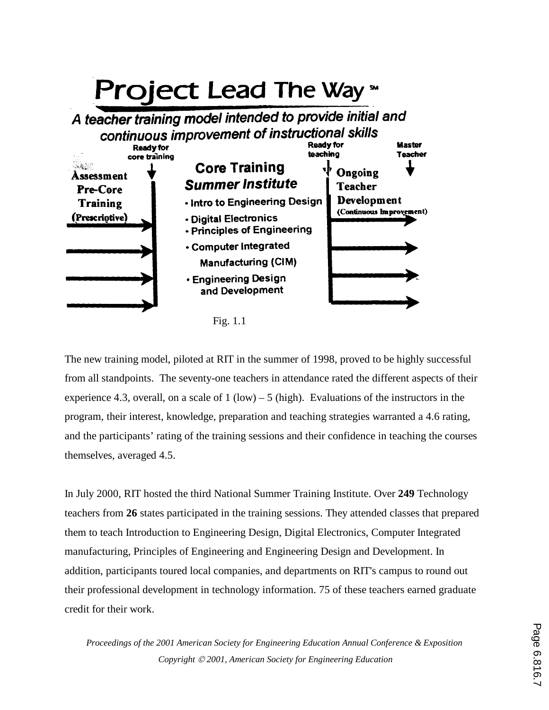

The new training model, piloted at RIT in the summer of 1998, proved to be highly successful from all standpoints. The seventy-one teachers in attendance rated the different aspects of their experience 4.3, overall, on a scale of 1 (low) – 5 (high). Evaluations of the instructors in the program, their interest, knowledge, preparation and teaching strategies warranted a 4.6 rating, and the participants' rating of the training sessions and their confidence in teaching the courses themselves, averaged 4.5.

In July 2000, RIT hosted the third National Summer Training Institute. Over **249** Technology teachers from **26** states participated in the training sessions. They attended classes that prepared them to teach Introduction to Engineering Design, Digital Electronics, Computer Integrated manufacturing, Principles of Engineering and Engineering Design and Development. In addition, participants toured local companies, and departments on RIT's campus to round out their professional development in technology information. 75 of these teachers earned graduate credit for their work.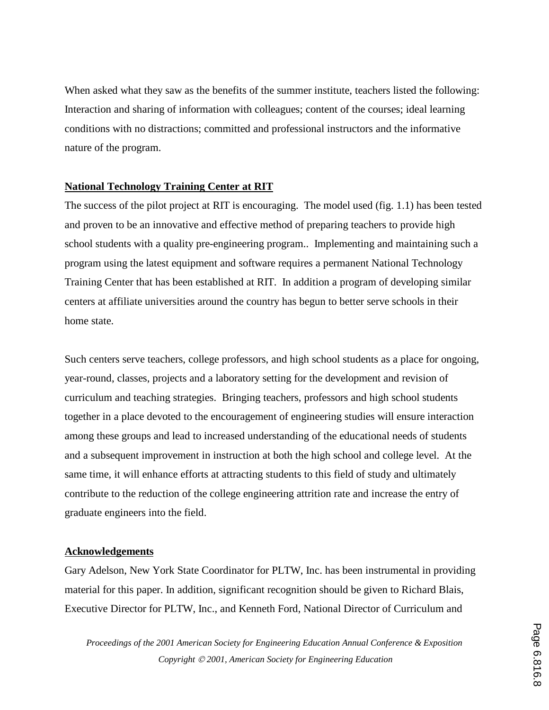When asked what they saw as the benefits of the summer institute, teachers listed the following: Interaction and sharing of information with colleagues; content of the courses; ideal learning conditions with no distractions; committed and professional instructors and the informative nature of the program.

### **National Technology Training Center at RIT**

The success of the pilot project at RIT is encouraging. The model used (fig. 1.1) has been tested and proven to be an innovative and effective method of preparing teachers to provide high school students with a quality pre-engineering program.. Implementing and maintaining such a program using the latest equipment and software requires a permanent National Technology Training Center that has been established at RIT. In addition a program of developing similar centers at affiliate universities around the country has begun to better serve schools in their home state.

Such centers serve teachers, college professors, and high school students as a place for ongoing, year-round, classes, projects and a laboratory setting for the development and revision of curriculum and teaching strategies. Bringing teachers, professors and high school students together in a place devoted to the encouragement of engineering studies will ensure interaction among these groups and lead to increased understanding of the educational needs of students and a subsequent improvement in instruction at both the high school and college level. At the same time, it will enhance efforts at attracting students to this field of study and ultimately contribute to the reduction of the college engineering attrition rate and increase the entry of graduate engineers into the field.

### **Acknowledgements**

Gary Adelson, New York State Coordinator for PLTW, Inc. has been instrumental in providing material for this paper. In addition, significant recognition should be given to Richard Blais, Executive Director for PLTW, Inc., and Kenneth Ford, National Director of Curriculum and